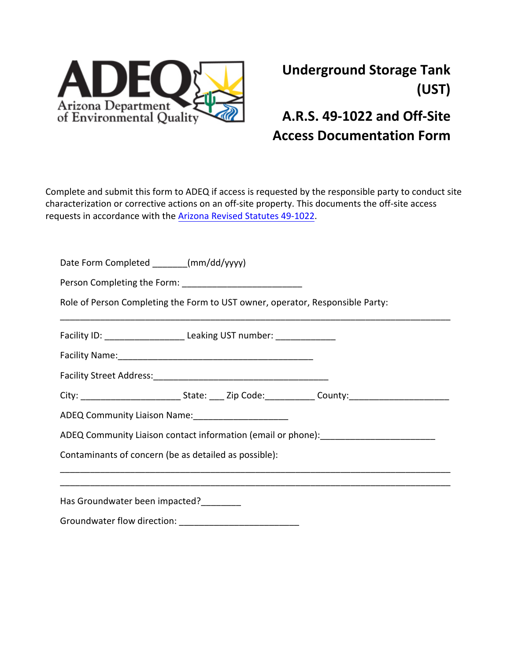

## **Underground Storage Tank (UST)**

## **A.R.S. 49-1022 and Off-Site Access Documentation Form**

Complete and submit this form to ADEQ if access is requested by the responsible party to conduct site characterization or corrective actions on an off-site property. This documents the off-site access requests in accordance with the Arizona [Revised](https://www.azleg.gov/viewdocument/?docName=https://www.azleg.gov/ars/49/01022.htm) Statutes 49-1022.

| Date Form Completed _______(mm/dd/yyyy)                                           |                                                                                                            |  |  |  |  |  |  |  |  |  |
|-----------------------------------------------------------------------------------|------------------------------------------------------------------------------------------------------------|--|--|--|--|--|--|--|--|--|
|                                                                                   |                                                                                                            |  |  |  |  |  |  |  |  |  |
| Role of Person Completing the Form to UST owner, operator, Responsible Party:     |                                                                                                            |  |  |  |  |  |  |  |  |  |
|                                                                                   | Facility ID: ____________________________Leaking UST number: ___________________                           |  |  |  |  |  |  |  |  |  |
|                                                                                   |                                                                                                            |  |  |  |  |  |  |  |  |  |
|                                                                                   |                                                                                                            |  |  |  |  |  |  |  |  |  |
|                                                                                   | City: _______________________________State: _____ Zip Code:________________County:________________________ |  |  |  |  |  |  |  |  |  |
| ADEQ Community Liaison Name: _______________________                              |                                                                                                            |  |  |  |  |  |  |  |  |  |
| ADEQ Community Liaison contact information (email or phone): ____________________ |                                                                                                            |  |  |  |  |  |  |  |  |  |
| Contaminants of concern (be as detailed as possible):                             |                                                                                                            |  |  |  |  |  |  |  |  |  |
|                                                                                   |                                                                                                            |  |  |  |  |  |  |  |  |  |
| Has Groundwater been impacted?                                                    |                                                                                                            |  |  |  |  |  |  |  |  |  |
|                                                                                   |                                                                                                            |  |  |  |  |  |  |  |  |  |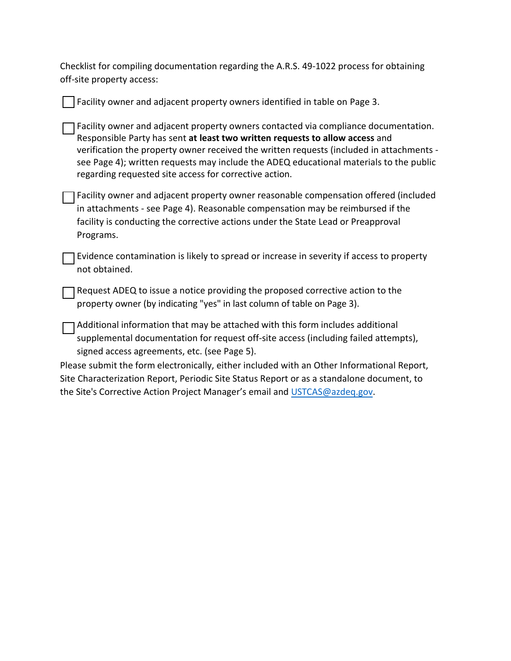Checklist for compiling documentation regarding the A.R.S. 49-1022 process for obtaining off-site property access:

| Facility owner and adjacent property owners identified in table on Page 3.                                                                                                                                                                                                                                                                                                                                          |
|---------------------------------------------------------------------------------------------------------------------------------------------------------------------------------------------------------------------------------------------------------------------------------------------------------------------------------------------------------------------------------------------------------------------|
| Facility owner and adjacent property owners contacted via compliance documentation.<br>Responsible Party has sent at least two written requests to allow access and<br>verification the property owner received the written requests (included in attachments -<br>see Page 4); written requests may include the ADEQ educational materials to the public<br>regarding requested site access for corrective action. |
| Facility owner and adjacent property owner reasonable compensation offered (included<br>in attachments - see Page 4). Reasonable compensation may be reimbursed if the<br>facility is conducting the corrective actions under the State Lead or Preapproval<br>Programs.                                                                                                                                            |
| Evidence contamination is likely to spread or increase in severity if access to property<br>not obtained.                                                                                                                                                                                                                                                                                                           |
| Request ADEQ to issue a notice providing the proposed corrective action to the<br>property owner (by indicating "yes" in last column of table on Page 3).                                                                                                                                                                                                                                                           |
| Additional information that may be attached with this form includes additional<br>supplemental documentation for request off-site access (including failed attempts),<br>signed access agreements, etc. (see Page 5).                                                                                                                                                                                               |
| Please submit the form electronically, either included with an Other Informational Report,                                                                                                                                                                                                                                                                                                                          |
| Site Characterization Report, Periodic Site Status Report or as a standalone document, to                                                                                                                                                                                                                                                                                                                           |
| the Site's Corrective Action Project Manager's email and USTCAS@azdeq.gov.                                                                                                                                                                                                                                                                                                                                          |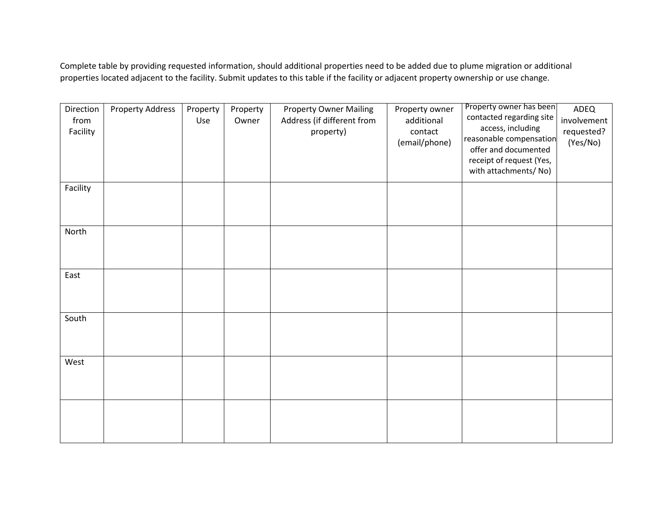Complete table by providing requested information, should additional properties need to be added due to plume migration or additional properties located adjacent to the facility. Submit updates to this table if the facility or adjacent property ownership or use change.

| Direction<br>from<br>Facility | <b>Property Address</b> | Property<br>Use | Property<br>Owner | <b>Property Owner Mailing</b><br>Address (if different from<br>property) | Property owner<br>additional<br>contact<br>(email/phone) | Property owner has been<br>contacted regarding site<br>access, including<br>reasonable compensation<br>offer and documented<br>receipt of request (Yes,<br>with attachments/ No) | ADEQ<br>involvement<br>requested?<br>(Yes/No) |
|-------------------------------|-------------------------|-----------------|-------------------|--------------------------------------------------------------------------|----------------------------------------------------------|----------------------------------------------------------------------------------------------------------------------------------------------------------------------------------|-----------------------------------------------|
| Facility                      |                         |                 |                   |                                                                          |                                                          |                                                                                                                                                                                  |                                               |
| North                         |                         |                 |                   |                                                                          |                                                          |                                                                                                                                                                                  |                                               |
| East                          |                         |                 |                   |                                                                          |                                                          |                                                                                                                                                                                  |                                               |
| South                         |                         |                 |                   |                                                                          |                                                          |                                                                                                                                                                                  |                                               |
| West                          |                         |                 |                   |                                                                          |                                                          |                                                                                                                                                                                  |                                               |
|                               |                         |                 |                   |                                                                          |                                                          |                                                                                                                                                                                  |                                               |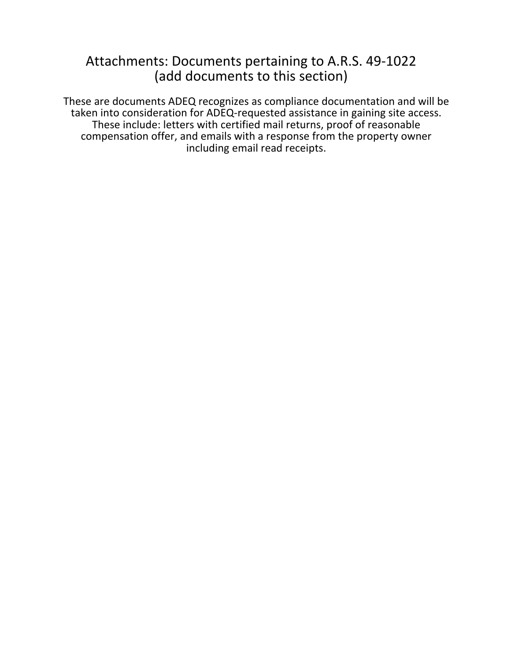## Attachments: Documents pertaining to A.R.S. 49-1022 (add documents to this section)

These are documents ADEQ recognizes as compliance documentation and will be taken into consideration for ADEQ-requested assistance in gaining site access. These include: letters with certified mail returns, proof of reasonable compensation offer, and emails with a response from the property owner including email read receipts.